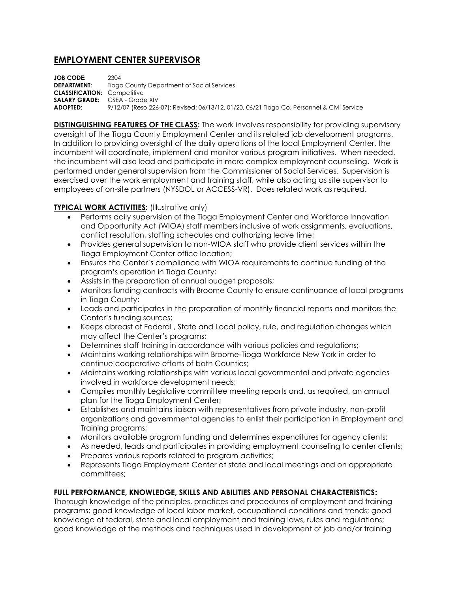## **EMPLOYMENT CENTER SUPERVISOR**

**JOB CODE:** 2304 **DEPARTMENT:** Tioga County Department of Social Services **CLASSIFICATION:** Competitive **SALARY GRADE:** CSEA - Grade XIV **ADOPTED:** 9/12/07 (Reso 226-07); Revised: 06/13/12, 01/20, 06/21 Tioga Co. Personnel & Civil Service

**DISTINGUISHING FEATURES OF THE CLASS:** The work involves responsibility for providing supervisory oversight of the Tioga County Employment Center and its related job development programs. In addition to providing oversight of the daily operations of the local Employment Center, the incumbent will coordinate, implement and monitor various program initiatives. When needed, the incumbent will also lead and participate in more complex employment counseling. Work is performed under general supervision from the Commissioner of Social Services. Supervision is exercised over the work employment and training staff, while also acting as site supervisor to employees of on-site partners (NYSDOL or ACCESS-VR). Does related work as required.

## **TYPICAL WORK ACTIVITIES: (Illustrative only)**

- Performs daily supervision of the Tioga Employment Center and Workforce Innovation and Opportunity Act (WIOA) staff members inclusive of work assignments, evaluations, conflict resolution, staffing schedules and authorizing leave time;
- Provides general supervision to non-WIOA staff who provide client services within the Tioga Employment Center office location;
- Ensures the Center's compliance with WIOA requirements to continue funding of the program's operation in Tioga County;
- Assists in the preparation of annual budget proposals;
- Monitors funding contracts with Broome County to ensure continuance of local programs in Tioga County;
- Leads and participates in the preparation of monthly financial reports and monitors the Center's funding sources;
- Keeps abreast of Federal , State and Local policy, rule, and regulation changes which may affect the Center's programs;
- Determines staff training in accordance with various policies and regulations;
- Maintains working relationships with Broome-Tioga Workforce New York in order to continue cooperative efforts of both Counties;
- Maintains working relationships with various local governmental and private agencies involved in workforce development needs;
- Compiles monthly Legislative committee meeting reports and, as required, an annual plan for the Tioga Employment Center;
- Establishes and maintains liaison with representatives from private industry, non-profit organizations and governmental agencies to enlist their participation in Employment and Training programs;
- Monitors available program funding and determines expenditures for agency clients;
- As needed, leads and participates in providing employment counseling to center clients;
- Prepares various reports related to program activities;
- Represents Tioga Employment Center at state and local meetings and on appropriate committees;

## **FULL PERFORMANCE, KNOWLEDGE, SKILLS AND ABILITIES AND PERSONAL CHARACTERISTICS:**

Thorough knowledge of the principles, practices and procedures of employment and training programs; good knowledge of local labor market, occupational conditions and trends; good knowledge of federal, state and local employment and training laws, rules and regulations; good knowledge of the methods and techniques used in development of job and/or training